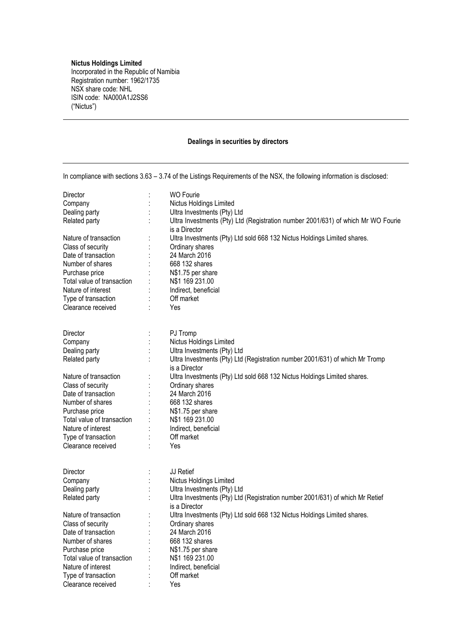## **Nictus Holdings Limited**

Incorporated in the Republic of Namibia Registration number: 1962/1735 NSX share code: NHL ISIN code: NA000A1J2SS6 ("Nictus")

## **Dealings in securities by directors**

| In compliance with sections 3.63 - 3.74 of the Listings Requirements of the NSX, the following information is disclosed: |  |                                                                                  |  |  |
|--------------------------------------------------------------------------------------------------------------------------|--|----------------------------------------------------------------------------------|--|--|
| Director                                                                                                                 |  | <b>WO Fourie</b>                                                                 |  |  |
| Company                                                                                                                  |  | Nictus Holdings Limited                                                          |  |  |
| Dealing party                                                                                                            |  | Ultra Investments (Pty) Ltd                                                      |  |  |
| Related party                                                                                                            |  | Ultra Investments (Pty) Ltd (Registration number 2001/631) of which Mr WO Fourie |  |  |
|                                                                                                                          |  |                                                                                  |  |  |
|                                                                                                                          |  | is a Director                                                                    |  |  |
| Nature of transaction                                                                                                    |  | Ultra Investments (Pty) Ltd sold 668 132 Nictus Holdings Limited shares.         |  |  |
| Class of security                                                                                                        |  | Ordinary shares                                                                  |  |  |
| Date of transaction                                                                                                      |  | 24 March 2016                                                                    |  |  |
| Number of shares                                                                                                         |  | 668 132 shares                                                                   |  |  |
| Purchase price                                                                                                           |  | N\$1.75 per share                                                                |  |  |
| Total value of transaction                                                                                               |  | N\$1 169 231.00                                                                  |  |  |
| Nature of interest                                                                                                       |  | Indirect, beneficial                                                             |  |  |
| Type of transaction                                                                                                      |  | Off market                                                                       |  |  |
| Clearance received                                                                                                       |  | Yes                                                                              |  |  |
| Director                                                                                                                 |  | PJ Tromp                                                                         |  |  |
| Company                                                                                                                  |  | Nictus Holdings Limited                                                          |  |  |
| Dealing party                                                                                                            |  | Ultra Investments (Pty) Ltd                                                      |  |  |
| Related party                                                                                                            |  | Ultra Investments (Pty) Ltd (Registration number 2001/631) of which Mr Tromp     |  |  |
|                                                                                                                          |  |                                                                                  |  |  |
|                                                                                                                          |  | is a Director                                                                    |  |  |
| Nature of transaction                                                                                                    |  | Ultra Investments (Pty) Ltd sold 668 132 Nictus Holdings Limited shares.         |  |  |
| Class of security                                                                                                        |  | Ordinary shares                                                                  |  |  |
| Date of transaction                                                                                                      |  | 24 March 2016                                                                    |  |  |
| Number of shares                                                                                                         |  | 668 132 shares                                                                   |  |  |
| Purchase price                                                                                                           |  | N\$1.75 per share                                                                |  |  |
| Total value of transaction                                                                                               |  | N\$1 169 231.00                                                                  |  |  |
| Nature of interest                                                                                                       |  | Indirect, beneficial                                                             |  |  |
| Type of transaction                                                                                                      |  | Off market                                                                       |  |  |
| Clearance received                                                                                                       |  | Yes                                                                              |  |  |
| Director                                                                                                                 |  | JJ Retief                                                                        |  |  |
| Company                                                                                                                  |  | Nictus Holdings Limited                                                          |  |  |
| Dealing party                                                                                                            |  | Ultra Investments (Pty) Ltd                                                      |  |  |
| Related party                                                                                                            |  | Ultra Investments (Pty) Ltd (Registration number 2001/631) of which Mr Retief    |  |  |
|                                                                                                                          |  | is a Director                                                                    |  |  |
| Nature of transaction                                                                                                    |  | Ultra Investments (Pty) Ltd sold 668 132 Nictus Holdings Limited shares.         |  |  |
|                                                                                                                          |  |                                                                                  |  |  |
| Class of security                                                                                                        |  | Ordinary shares                                                                  |  |  |
| Date of transaction                                                                                                      |  | 24 March 2016                                                                    |  |  |
| Number of shares                                                                                                         |  | 668 132 shares                                                                   |  |  |
| Purchase price                                                                                                           |  | N\$1.75 per share                                                                |  |  |
| Total value of transaction                                                                                               |  | N\$1 169 231.00                                                                  |  |  |
| Nature of interest                                                                                                       |  | Indirect, beneficial                                                             |  |  |
| Type of transaction                                                                                                      |  | Off market                                                                       |  |  |
| Clearance received                                                                                                       |  | Yes                                                                              |  |  |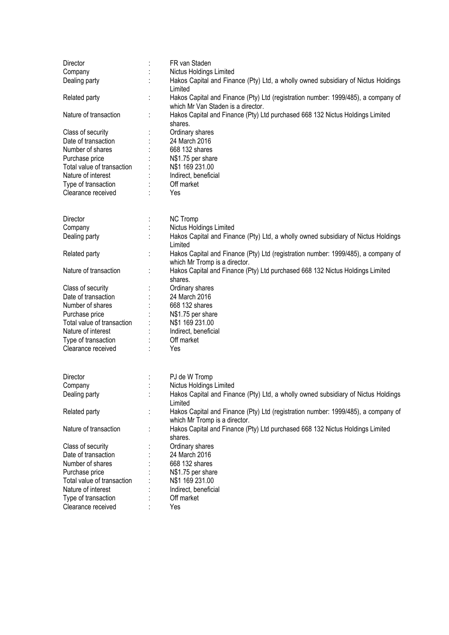| Director                   |   | FR van Staden                                                                                                           |
|----------------------------|---|-------------------------------------------------------------------------------------------------------------------------|
| Company                    |   | Nictus Holdings Limited                                                                                                 |
| Dealing party              |   | Hakos Capital and Finance (Pty) Ltd, a wholly owned subsidiary of Nictus Holdings                                       |
|                            |   | Limited                                                                                                                 |
| Related party              | t | Hakos Capital and Finance (Pty) Ltd (registration number: 1999/485), a company of<br>which Mr Van Staden is a director. |
| Nature of transaction      |   | Hakos Capital and Finance (Pty) Ltd purchased 668 132 Nictus Holdings Limited                                           |
|                            |   | shares.                                                                                                                 |
| Class of security          |   | Ordinary shares                                                                                                         |
| Date of transaction        |   | 24 March 2016                                                                                                           |
| Number of shares           |   | 668 132 shares                                                                                                          |
| Purchase price             |   | N\$1.75 per share                                                                                                       |
| Total value of transaction |   | N\$1 169 231.00                                                                                                         |
| Nature of interest         |   | Indirect, beneficial                                                                                                    |
| Type of transaction        |   | Off market                                                                                                              |
| Clearance received         |   | Yes                                                                                                                     |
|                            |   |                                                                                                                         |
|                            |   |                                                                                                                         |
| <b>Director</b>            |   | <b>NC Tromp</b>                                                                                                         |
| Company                    |   | Nictus Holdings Limited                                                                                                 |
| Dealing party              |   | Hakos Capital and Finance (Pty) Ltd, a wholly owned subsidiary of Nictus Holdings<br>Limited                            |
| Related party              |   | Hakos Capital and Finance (Pty) Ltd (registration number: 1999/485), a company of<br>which Mr Tromp is a director.      |
| Nature of transaction      | ÷ | Hakos Capital and Finance (Pty) Ltd purchased 668 132 Nictus Holdings Limited                                           |
|                            |   | shares.                                                                                                                 |
| Class of security          |   | Ordinary shares                                                                                                         |
| Date of transaction        |   | 24 March 2016                                                                                                           |
| Number of shares           |   | 668 132 shares                                                                                                          |
| Purchase price             |   | N\$1.75 per share                                                                                                       |
| Total value of transaction |   | N\$1 169 231.00                                                                                                         |
| Nature of interest         |   | Indirect, beneficial                                                                                                    |
| Type of transaction        |   | Off market                                                                                                              |
| Clearance received         |   | Yes                                                                                                                     |
|                            |   |                                                                                                                         |
| Director                   |   | PJ de W Tromp                                                                                                           |
| Company                    |   | Nictus Holdings Limited                                                                                                 |
| Dealing party              |   | Hakos Capital and Finance (Pty) Ltd, a wholly owned subsidiary of Nictus Holdings                                       |
|                            |   | Limited                                                                                                                 |
| Related party              |   | Hakos Capital and Finance (Pty) Ltd (registration number: 1999/485), a company of                                       |
|                            |   | which Mr Tromp is a director.                                                                                           |
| Nature of transaction      |   | Hakos Capital and Finance (Pty) Ltd purchased 668 132 Nictus Holdings Limited                                           |
|                            |   | shares.                                                                                                                 |
| Class of security          |   | Ordinary shares                                                                                                         |
| Date of transaction        |   | 24 March 2016                                                                                                           |
| Number of shares           |   | 668 132 shares                                                                                                          |
|                            |   | N\$1.75 per share                                                                                                       |
| Purchase price             |   |                                                                                                                         |
| Total value of transaction |   | N\$1 169 231.00                                                                                                         |
| Nature of interest         |   | Indirect, beneficial                                                                                                    |
| Type of transaction        |   | Off market                                                                                                              |
| Clearance received         |   | Yes                                                                                                                     |